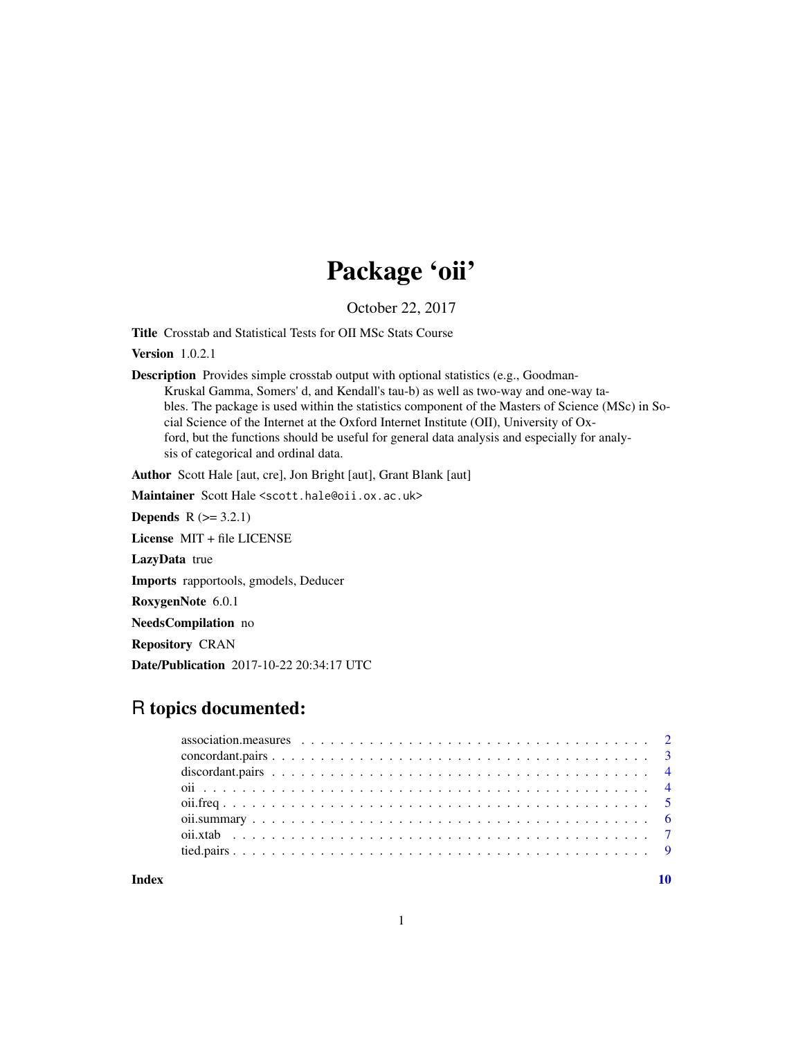## Package 'oii'

October 22, 2017

<span id="page-0-0"></span>Title Crosstab and Statistical Tests for OII MSc Stats Course

Version 1.0.2.1

Description Provides simple crosstab output with optional statistics (e.g., Goodman-Kruskal Gamma, Somers' d, and Kendall's tau-b) as well as two-way and one-way tables. The package is used within the statistics component of the Masters of Science (MSc) in Social Science of the Internet at the Oxford Internet Institute (OII), University of Oxford, but the functions should be useful for general data analysis and especially for analysis of categorical and ordinal data.

Author Scott Hale [aut, cre], Jon Bright [aut], Grant Blank [aut]

Maintainer Scott Hale <scott.hale@oii.ox.ac.uk>

**Depends**  $R$  ( $>= 3.2.1$ )

License MIT + file LICENSE

LazyData true

Imports rapportools, gmodels, Deducer

RoxygenNote 6.0.1

NeedsCompilation no

Repository CRAN

Date/Publication 2017-10-22 20:34:17 UTC

### R topics documented:

| association. measures $\ldots \ldots \ldots \ldots \ldots \ldots \ldots \ldots \ldots \ldots \ldots \ldots$ |  |
|-------------------------------------------------------------------------------------------------------------|--|
|                                                                                                             |  |
|                                                                                                             |  |
|                                                                                                             |  |
|                                                                                                             |  |
|                                                                                                             |  |
|                                                                                                             |  |
|                                                                                                             |  |
|                                                                                                             |  |

 $\blacksquare$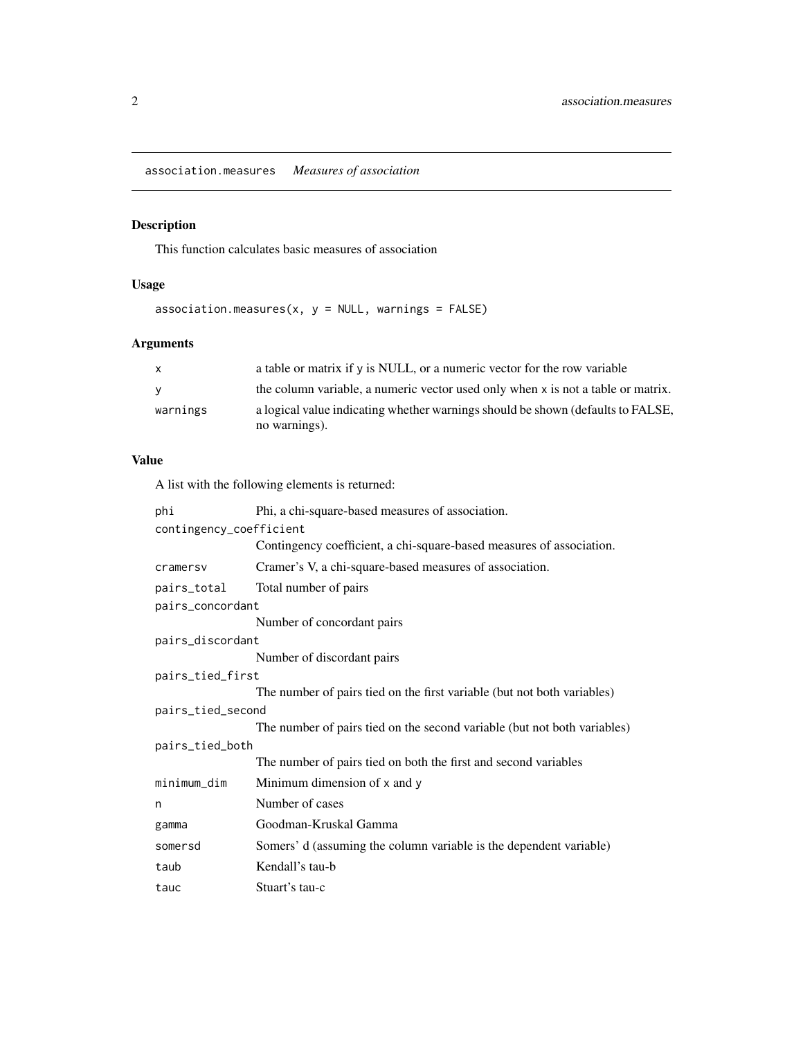<span id="page-1-1"></span><span id="page-1-0"></span>association.measures *Measures of association*

#### Description

This function calculates basic measures of association

#### Usage

association.measures(x,  $y = NULL$ , warnings = FALSE)

#### Arguments

| $\mathsf{x}$ | a table or matrix if $\gamma$ is NULL, or a numeric vector for the row variable  |
|--------------|----------------------------------------------------------------------------------|
| <b>V</b>     | the column variable, a numeric vector used only when x is not a table or matrix. |
| warnings     | a logical value indicating whether warnings should be shown (defaults to FALSE,  |
|              | no warnings).                                                                    |

#### Value

A list with the following elements is returned:

| phi                     | Phi, a chi-square-based measures of association.                         |
|-------------------------|--------------------------------------------------------------------------|
| contingency_coefficient |                                                                          |
|                         | Contingency coefficient, a chi-square-based measures of association.     |
| cramersv                | Cramer's V, a chi-square-based measures of association.                  |
| pairs_total             | Total number of pairs                                                    |
| pairs_concordant        |                                                                          |
|                         | Number of concordant pairs                                               |
| pairs_discordant        |                                                                          |
|                         | Number of discordant pairs                                               |
| pairs_tied_first        |                                                                          |
|                         | The number of pairs tied on the first variable (but not both variables)  |
| pairs_tied_second       |                                                                          |
|                         | The number of pairs tied on the second variable (but not both variables) |
| pairs_tied_both         |                                                                          |
|                         | The number of pairs tied on both the first and second variables          |
| minimum_dim             | Minimum dimension of x and y                                             |
| n                       | Number of cases                                                          |
| gamma                   | Goodman-Kruskal Gamma                                                    |
| somersd                 | Somers' d (assuming the column variable is the dependent variable)       |
| taub                    | Kendall's tau-b                                                          |
| tauc                    | Stuart's tau-c                                                           |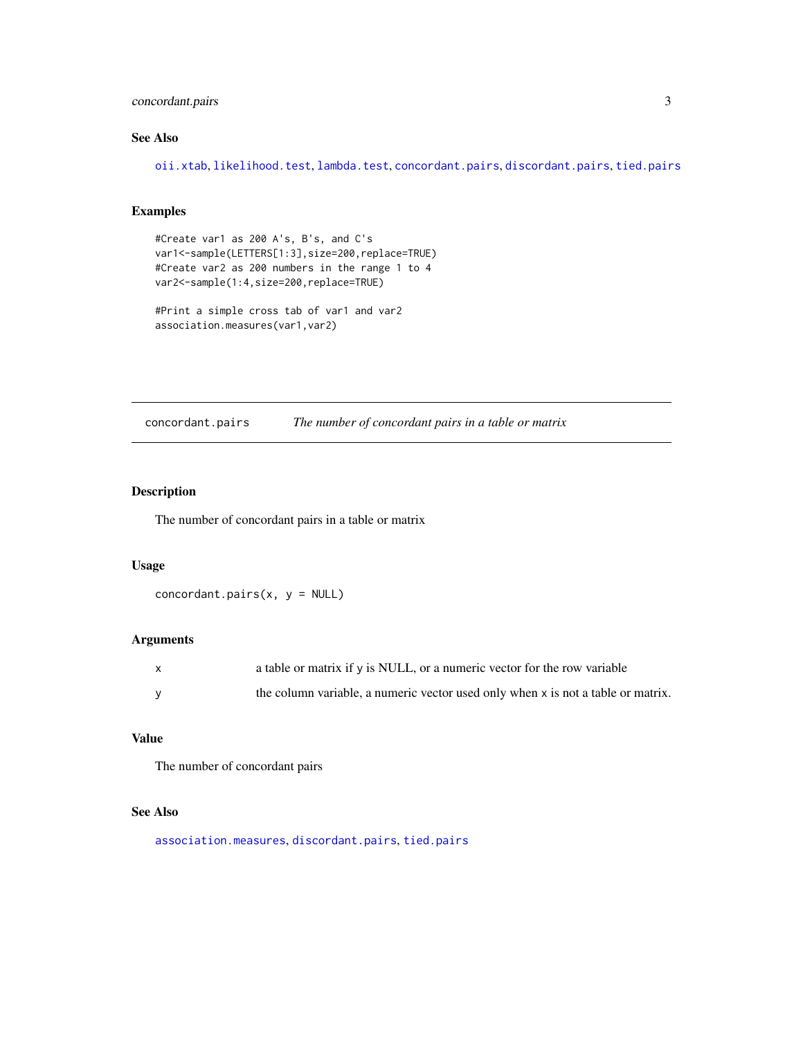#### <span id="page-2-0"></span>concordant.pairs 3

#### See Also

[oii.xtab](#page-6-1), [likelihood.test](#page-0-0), [lambda.test](#page-0-0), [concordant.pairs](#page-2-1), [discordant.pairs](#page-3-1), [tied.pairs](#page-8-1)

#### Examples

```
#Create var1 as 200 A's, B's, and C's
var1<-sample(LETTERS[1:3],size=200,replace=TRUE)
#Create var2 as 200 numbers in the range 1 to 4
var2<-sample(1:4,size=200,replace=TRUE)
```

```
#Print a simple cross tab of var1 and var2
association.measures(var1,var2)
```
<span id="page-2-1"></span>concordant.pairs *The number of concordant pairs in a table or matrix*

#### Description

The number of concordant pairs in a table or matrix

#### Usage

concordant.pairs $(x, y = NULL)$ 

#### Arguments

| a table or matrix if $\gamma$ is NULL, or a numeric vector for the row variable  |
|----------------------------------------------------------------------------------|
| the column variable, a numeric vector used only when x is not a table or matrix. |

#### Value

The number of concordant pairs

#### See Also

[association.measures](#page-1-1), [discordant.pairs](#page-3-1), [tied.pairs](#page-8-1)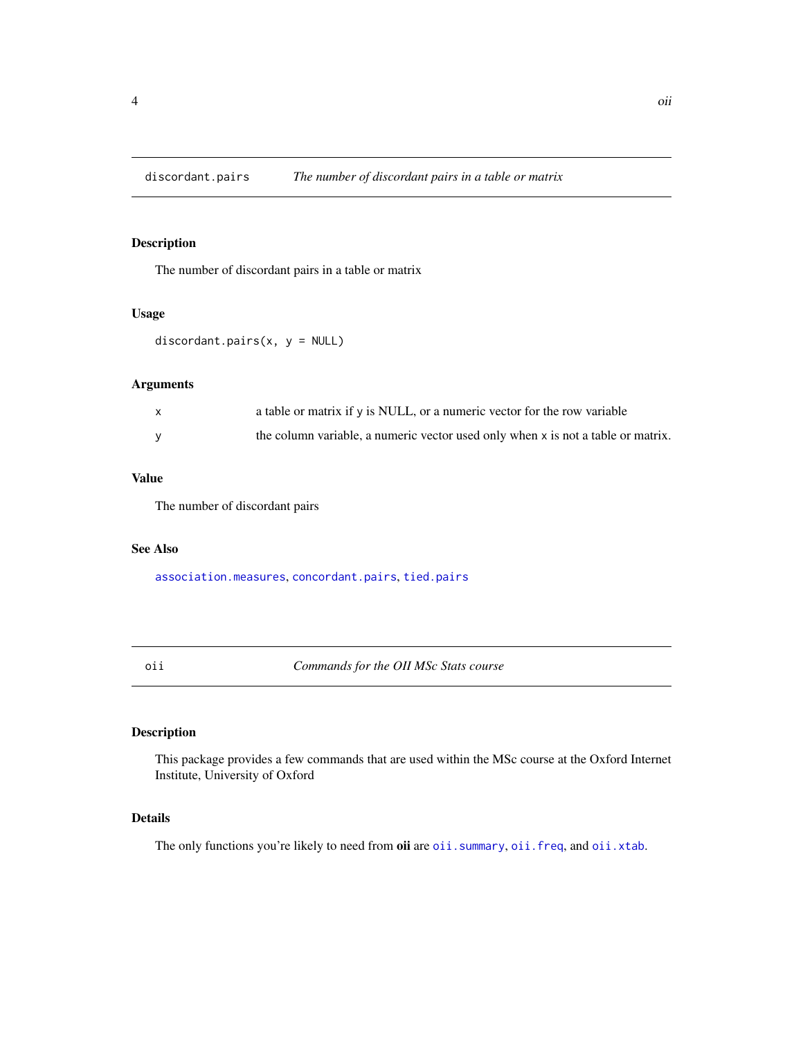<span id="page-3-1"></span><span id="page-3-0"></span>

The number of discordant pairs in a table or matrix

#### Usage

discordant.pairs $(x, y = NULL)$ 

#### Arguments

| a table or matrix if $\gamma$ is NULL, or a numeric vector for the row variable  |
|----------------------------------------------------------------------------------|
| the column variable, a numeric vector used only when x is not a table or matrix. |

#### Value

The number of discordant pairs

#### See Also

[association.measures](#page-1-1), [concordant.pairs](#page-2-1), [tied.pairs](#page-8-1)

oii *Commands for the OII MSc Stats course*

#### Description

This package provides a few commands that are used within the MSc course at the Oxford Internet Institute, University of Oxford

#### Details

The only functions you're likely to need from oii are [oii.summary](#page-5-1), [oii.freq](#page-4-1), and [oii.xtab](#page-6-1).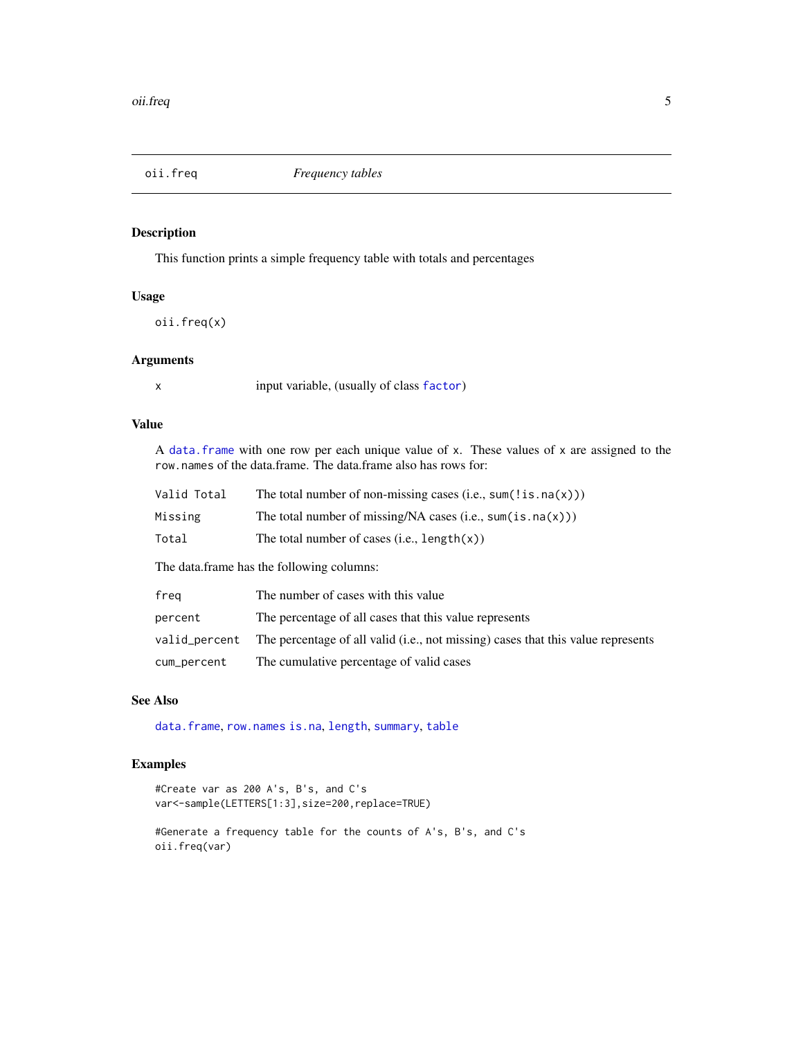<span id="page-4-1"></span><span id="page-4-0"></span>

This function prints a simple frequency table with totals and percentages

#### Usage

oii.freq(x)

#### Arguments

x input variable, (usually of class [factor](#page-0-0))

#### Value

A [data.frame](#page-0-0) with one row per each unique value of x. These values of x are assigned to the row.names of the data.frame. The data.frame also has rows for:

| Valid Total                               | The total number of non-missing cases (i.e., sum(!is.na(x))) |  |
|-------------------------------------------|--------------------------------------------------------------|--|
| Missing                                   | The total number of missing/NA cases (i.e., sum(is.na(x)))   |  |
| Total                                     | The total number of cases $(i.e., length(x))$                |  |
| The data frame has the following columns: |                                                              |  |

| freg        | The number of cases with this value                                                            |
|-------------|------------------------------------------------------------------------------------------------|
| percent     | The percentage of all cases that this value represents                                         |
|             | valid_percent The percentage of all valid (i.e., not missing) cases that this value represents |
| cum_percent | The cumulative percentage of valid cases                                                       |

#### See Also

[data.frame](#page-0-0), [row.names](#page-0-0) [is.na](#page-0-0), [length](#page-0-0), [summary](#page-0-0), [table](#page-0-0)

#### Examples

```
#Create var as 200 A's, B's, and C's
var<-sample(LETTERS[1:3],size=200,replace=TRUE)
```

```
#Generate a frequency table for the counts of A's, B's, and C's
oii.freq(var)
```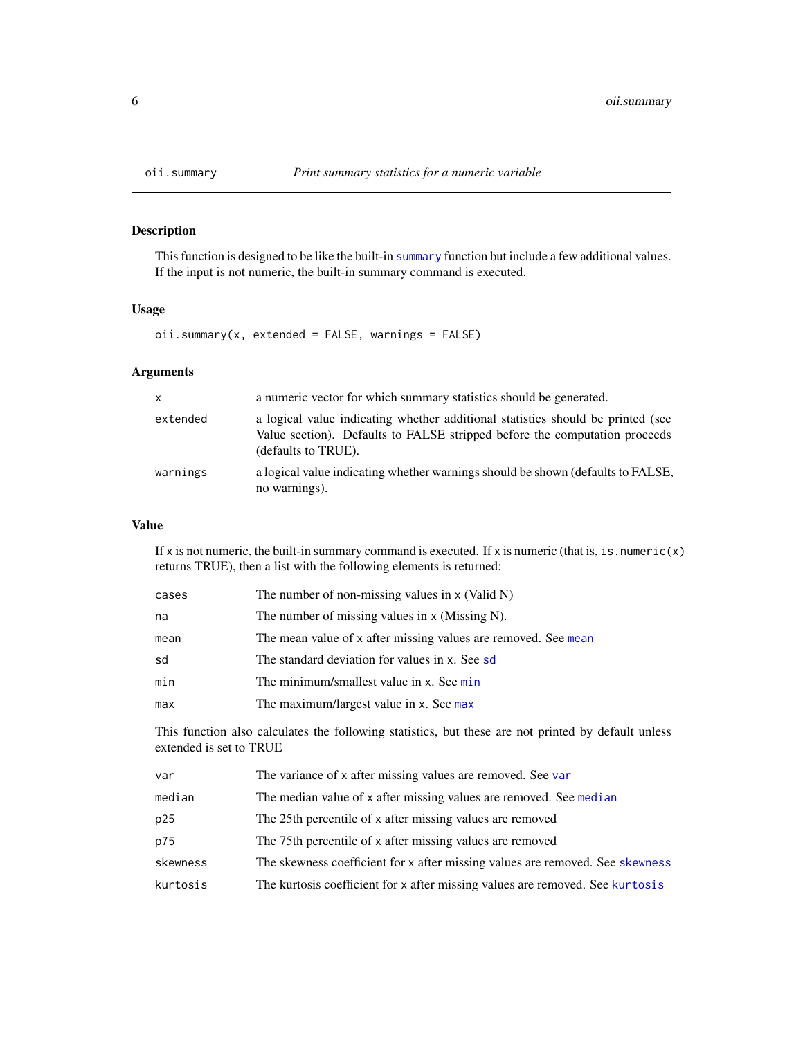This function is designed to be like the built-in [summary](#page-0-0) function but include a few additional values. If the input is not numeric, the built-in summary command is executed.

#### Usage

 $oii.summary(x, extended = FALSE, warnings = FALSE)$ 

#### Arguments

| $\mathbf{x}$ | a numeric vector for which summary statistics should be generated.                                                                                                                   |
|--------------|--------------------------------------------------------------------------------------------------------------------------------------------------------------------------------------|
| extended     | a logical value indicating whether additional statistics should be printed (see<br>Value section). Defaults to FALSE stripped before the computation proceeds<br>(defaults to TRUE). |
| warnings     | a logical value indicating whether warnings should be shown (defaults to FALSE,<br>no warnings).                                                                                     |

#### Value

If x is not numeric, the built-in summary command is executed. If x is numeric (that is, is. numeric(x) returns TRUE), then a list with the following elements is returned:

| cases | The number of non-missing values in $x$ (Valid N)              |
|-------|----------------------------------------------------------------|
| na    | The number of missing values in $x$ (Missing N).               |
| mean  | The mean value of x after missing values are removed. See mean |
| sd    | The standard deviation for values in x. See sd.                |
| min   | The minimum/smallest value in x. See min                       |
| max   | The maximum/largest value in x. See max                        |

This function also calculates the following statistics, but these are not printed by default unless extended is set to TRUE

| var      | The variance of x after missing values are removed. See var                   |
|----------|-------------------------------------------------------------------------------|
| median   | The median value of x after missing values are removed. See median            |
| p25      | The 25th percentile of x after missing values are removed                     |
| p75      | The 75th percentile of x after missing values are removed                     |
| skewness | The skewness coefficient for x after missing values are removed. See skewness |
| kurtosis | The kurtosis coefficient for x after missing values are removed. See kurtosis |
|          |                                                                               |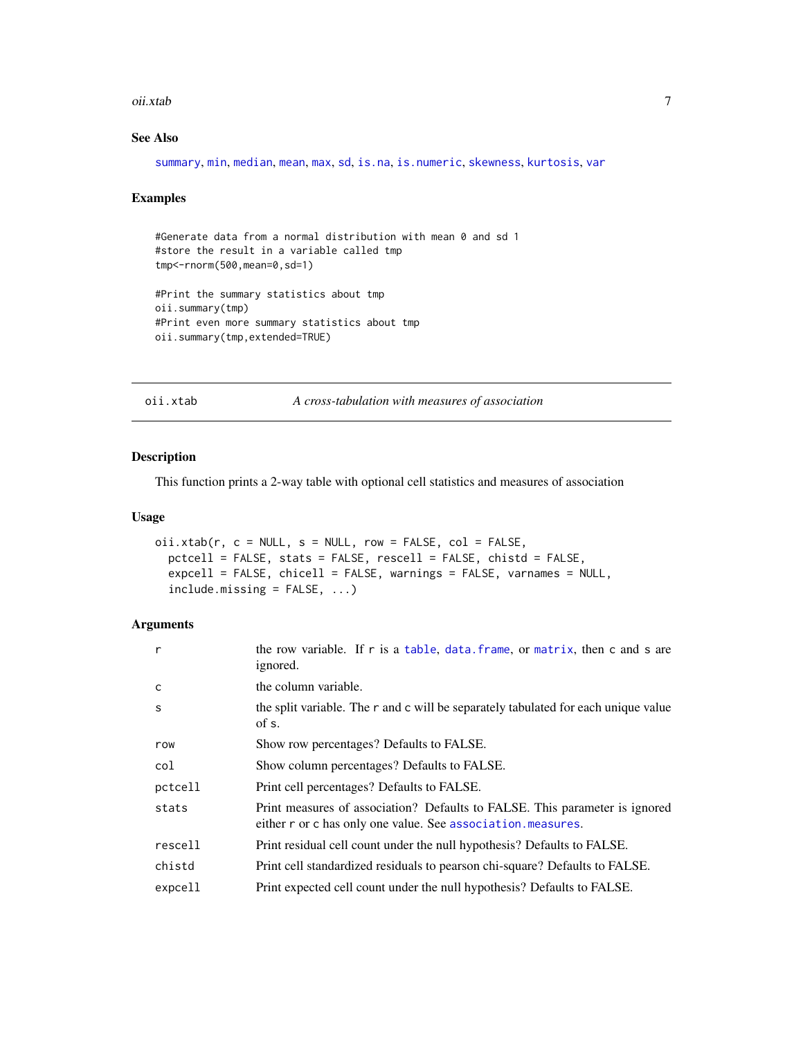#### <span id="page-6-0"></span>oii.xtab 7

#### See Also

[summary](#page-0-0), [min](#page-0-0), [median](#page-0-0), [mean](#page-0-0), [max](#page-0-0), [sd](#page-0-0), [is.na](#page-0-0), [is.numeric](#page-0-0), [skewness](#page-0-0), [kurtosis](#page-0-0), [var](#page-0-0)

#### Examples

```
#Generate data from a normal distribution with mean 0 and sd 1
#store the result in a variable called tmp
tmp<-rnorm(500,mean=0,sd=1)
#Print the summary statistics about tmp
oii.summary(tmp)
#Print even more summary statistics about tmp
oii.summary(tmp,extended=TRUE)
```
<span id="page-6-1"></span>oii.xtab *A cross-tabulation with measures of association*

#### Description

This function prints a 2-way table with optional cell statistics and measures of association

#### Usage

```
oii.xtab(r, c = NULL, s = NULL, row = FALSE, col = FALSE,pctcell = FALSE, stats = FALSE, rescell = FALSE, chistd = FALSE,
 expcell = FALSE, chicell = FALSE, warnings = FALSE, varnames = NULL,
  include.missing = FALSE, ...)
```
#### Arguments

| r            | the row variable. If r is a table, data, frame, or matrix, then c and s are<br>ignored.                                                     |
|--------------|---------------------------------------------------------------------------------------------------------------------------------------------|
| $\mathsf{C}$ | the column variable.                                                                                                                        |
| S            | the split variable. The r and c will be separately tabulated for each unique value<br>of s.                                                 |
| row          | Show row percentages? Defaults to FALSE.                                                                                                    |
| col          | Show column percentages? Defaults to FALSE.                                                                                                 |
| pctcell      | Print cell percentages? Defaults to FALSE.                                                                                                  |
| stats        | Print measures of association? Defaults to FALSE. This parameter is ignored<br>either r or c has only one value. See association. measures. |
| rescell      | Print residual cell count under the null hypothesis? Defaults to FALSE.                                                                     |
| chistd       | Print cell standardized residuals to pearson chi-square? Defaults to FALSE.                                                                 |
| expcell      | Print expected cell count under the null hypothesis? Defaults to FALSE.                                                                     |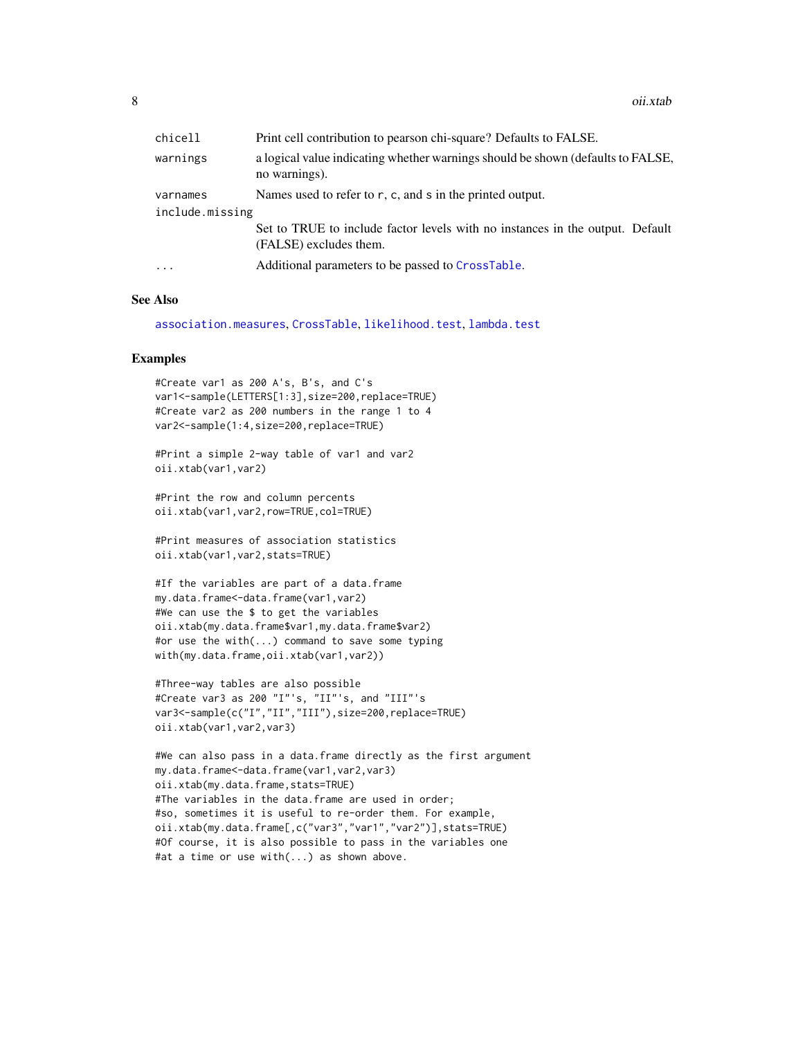<span id="page-7-0"></span>

| chicell         | Print cell contribution to pearson chi-square? Defaults to FALSE.                                       |
|-----------------|---------------------------------------------------------------------------------------------------------|
| warnings        | a logical value indicating whether warnings should be shown (defaults to FALSE,<br>no warnings).        |
| varnames        | Names used to refer to $r$ , c, and s in the printed output.                                            |
| include.missing |                                                                                                         |
|                 | Set to TRUE to include factor levels with no instances in the output. Default<br>(FALSE) excludes them. |
| $\ddotsc$       | Additional parameters to be passed to CrossTable.                                                       |

#### See Also

[association.measures](#page-1-1), [CrossTable](#page-0-0), [likelihood.test](#page-0-0), [lambda.test](#page-0-0)

#### Examples

```
#Create var1 as 200 A's, B's, and C's
var1<-sample(LETTERS[1:3],size=200,replace=TRUE)
#Create var2 as 200 numbers in the range 1 to 4
var2<-sample(1:4,size=200,replace=TRUE)
```
#Print a simple 2-way table of var1 and var2 oii.xtab(var1,var2)

#Print the row and column percents oii.xtab(var1,var2,row=TRUE,col=TRUE)

#Print measures of association statistics oii.xtab(var1,var2,stats=TRUE)

```
#If the variables are part of a data.frame
my.data.frame<-data.frame(var1,var2)
#We can use the $ to get the variables
oii.xtab(my.data.frame$var1,my.data.frame$var2)
#or use the with(...) command to save some typing
with(my.data.frame,oii.xtab(var1,var2))
```

```
#Three-way tables are also possible
#Create var3 as 200 "I"'s, "II"'s, and "III"'s
var3<-sample(c("I","II","III"),size=200,replace=TRUE)
oii.xtab(var1,var2,var3)
```

```
#We can also pass in a data.frame directly as the first argument
my.data.frame<-data.frame(var1,var2,var3)
oii.xtab(my.data.frame,stats=TRUE)
#The variables in the data.frame are used in order;
#so, sometimes it is useful to re-order them. For example,
oii.xtab(my.data.frame[,c("var3","var1","var2")],stats=TRUE)
#Of course, it is also possible to pass in the variables one
#at a time or use with(...) as shown above.
```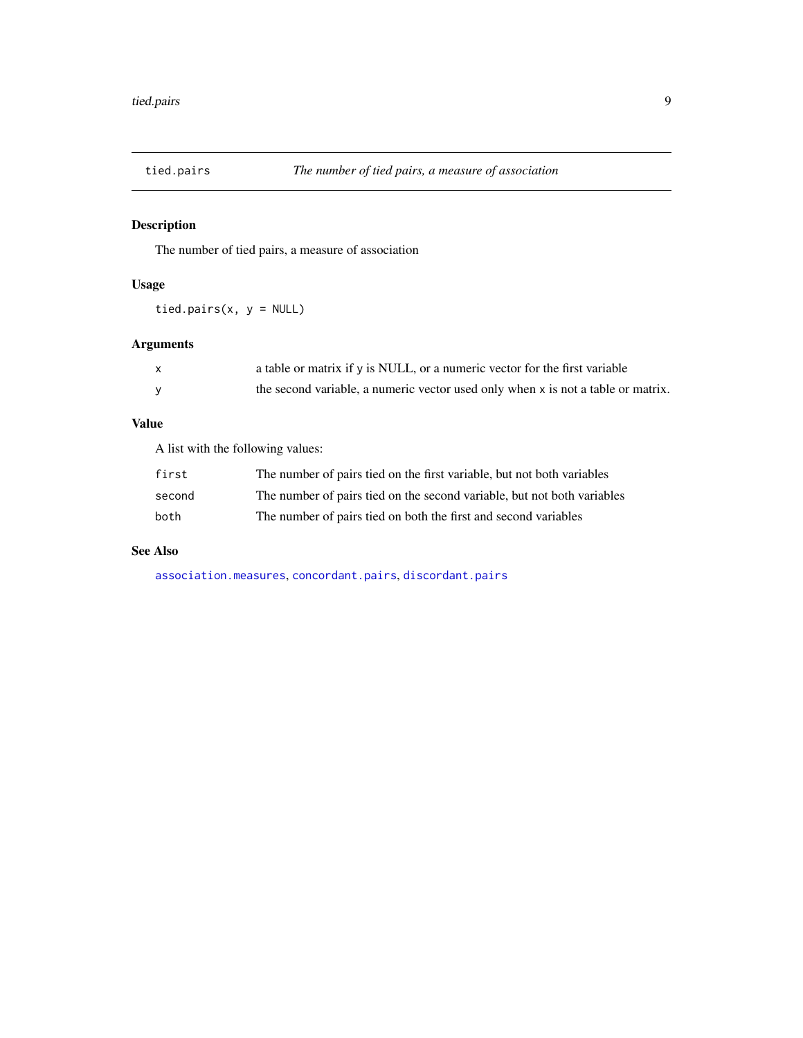<span id="page-8-1"></span><span id="page-8-0"></span>

The number of tied pairs, a measure of association

#### Usage

tied.pairs $(x, y = NULL)$ 

#### Arguments

| a table or matrix if $\gamma$ is NULL, or a numeric vector for the first variable |
|-----------------------------------------------------------------------------------|
| the second variable, a numeric vector used only when x is not a table or matrix.  |

#### Value

A list with the following values:

| first  | The number of pairs tied on the first variable, but not both variables  |
|--------|-------------------------------------------------------------------------|
| second | The number of pairs tied on the second variable, but not both variables |
| both   | The number of pairs tied on both the first and second variables         |

#### See Also

[association.measures](#page-1-1), [concordant.pairs](#page-2-1), [discordant.pairs](#page-3-1)